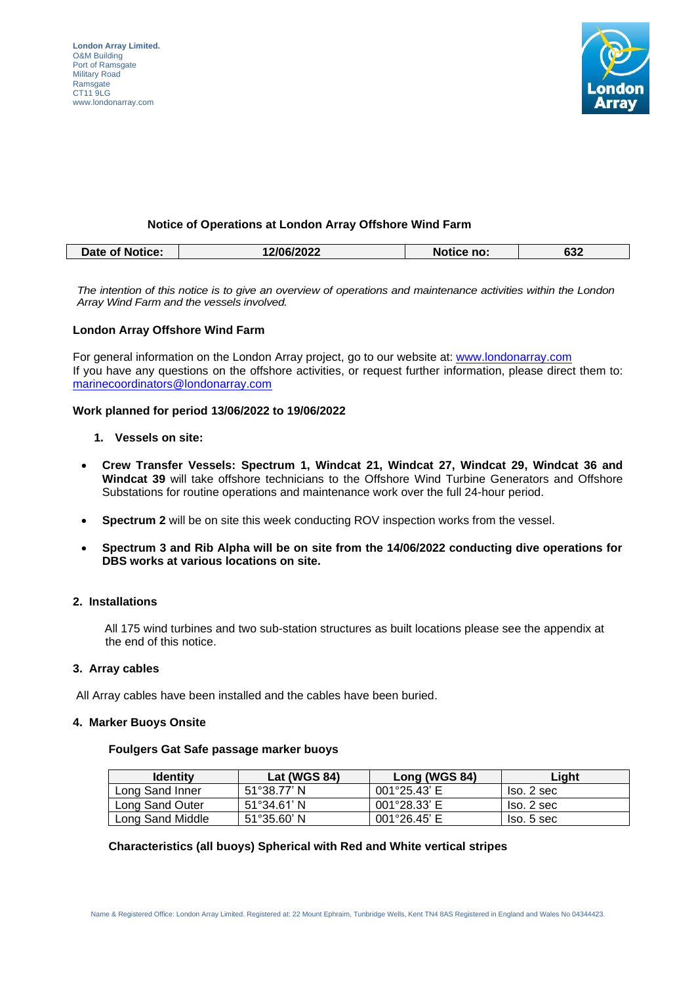

# **Notice of Operations at London Array Offshore Wind Farm**

| 2/06/2022<br>Notice no:<br>nn n<br>Date of Notice:<br>ס3∠ |  |  |
|-----------------------------------------------------------|--|--|
|                                                           |  |  |

*The intention of this notice is to give an overview of operations and maintenance activities within the London Array Wind Farm and the vessels involved.* 

#### **London Array Offshore Wind Farm**

For general information on the London Array project, go to our website at: [www.londonarray.com](http://www.londonarray.com/) If you have any questions on the offshore activities, or request further information, please direct them to: [marinecoordinators@londonarray.com](mailto:marinecoordinators@londonarray.com)

## **Work planned for period 13/06/2022 to 19/06/2022**

- **1. Vessels on site:**
- **Crew Transfer Vessels: Spectrum 1, Windcat 21, Windcat 27, Windcat 29, Windcat 36 and Windcat 39** will take offshore technicians to the Offshore Wind Turbine Generators and Offshore Substations for routine operations and maintenance work over the full 24-hour period.
- **Spectrum 2** will be on site this week conducting ROV inspection works from the vessel.
- **Spectrum 3 and Rib Alpha will be on site from the 14/06/2022 conducting dive operations for DBS works at various locations on site.**

### **2. Installations**

All 175 wind turbines and two sub-station structures as built locations please see the appendix at the end of this notice.

#### **3. Array cables**

All Array cables have been installed and the cables have been buried.

### **4. Marker Buoys Onsite**

# **Foulgers Gat Safe passage marker buoys**

| <b>Identity</b>  | <b>Lat (WGS 84)</b>          | Long (WGS 84)          | Light      |
|------------------|------------------------------|------------------------|------------|
| Long Sand Inner  | $51^{\circ}38.77'$ N         | $001^{\circ}25.43'$ E  | Iso. 2 sec |
| Long Sand Outer  | $51^{\circ}34.61'$ N         | 001°28.33' E           | Iso. 2 sec |
| Long Sand Middle | $51^{\circ}35.60^{\prime}$ N | $001^{\circ}26.45$ ' E | lso. 5 sec |

#### **Characteristics (all buoys) Spherical with Red and White vertical stripes**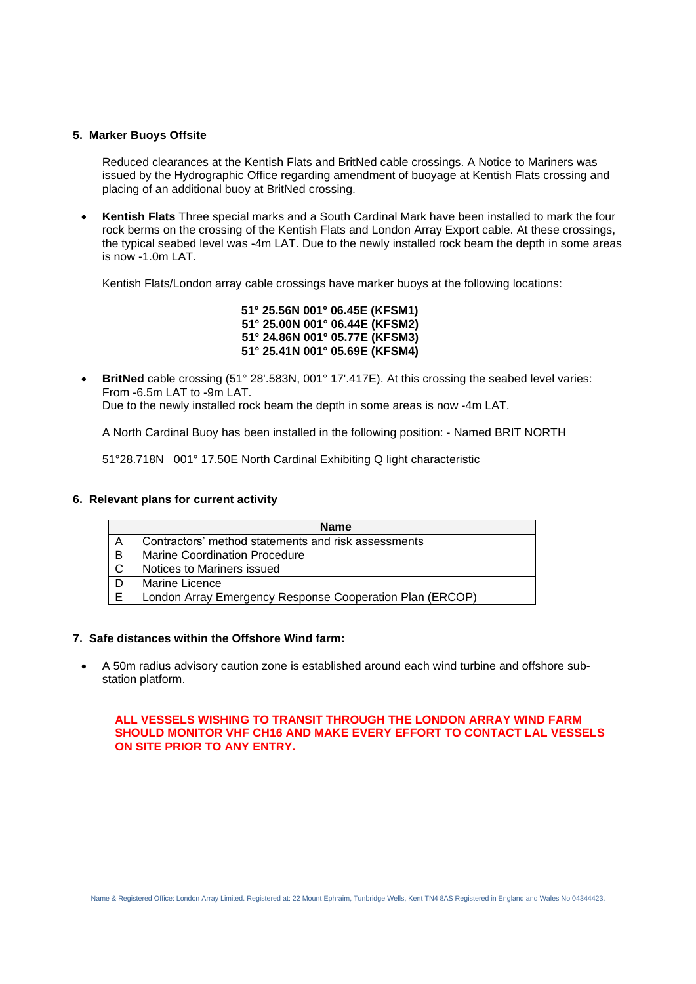## **5. Marker Buoys Offsite**

Reduced clearances at the Kentish Flats and BritNed cable crossings. A Notice to Mariners was issued by the Hydrographic Office regarding amendment of buoyage at Kentish Flats crossing and placing of an additional buoy at BritNed crossing.

• **Kentish Flats** Three special marks and a South Cardinal Mark have been installed to mark the four rock berms on the crossing of the Kentish Flats and London Array Export cable. At these crossings, the typical seabed level was -4m LAT. Due to the newly installed rock beam the depth in some areas is now -1.0m LAT.

Kentish Flats/London array cable crossings have marker buoys at the following locations:

 **51° 25.56N 001° 06.45E (KFSM1) 51° 25.00N 001° 06.44E (KFSM2) 51° 24.86N 001° 05.77E (KFSM3) 51° 25.41N 001° 05.69E (KFSM4)**

**BritNed** cable crossing (51° 28'.583N, 001° 17'.417E). At this crossing the seabed level varies: From -6.5m LAT to -9m LAT.

Due to the newly installed rock beam the depth in some areas is now -4m LAT.

A North Cardinal Buoy has been installed in the following position: - Named BRIT NORTH

51°28.718N 001° 17.50E North Cardinal Exhibiting Q light characteristic

#### **6. Relevant plans for current activity**

|   | <b>Name</b>                                              |
|---|----------------------------------------------------------|
| Α | Contractors' method statements and risk assessments      |
| B | <b>Marine Coordination Procedure</b>                     |
| C | Notices to Mariners issued                               |
|   | Marine Licence                                           |
|   | London Array Emergency Response Cooperation Plan (ERCOP) |

## **7. Safe distances within the Offshore Wind farm:**

• A 50m radius advisory caution zone is established around each wind turbine and offshore substation platform.

### **ALL VESSELS WISHING TO TRANSIT THROUGH THE LONDON ARRAY WIND FARM SHOULD MONITOR VHF CH16 AND MAKE EVERY EFFORT TO CONTACT LAL VESSELS ON SITE PRIOR TO ANY ENTRY.**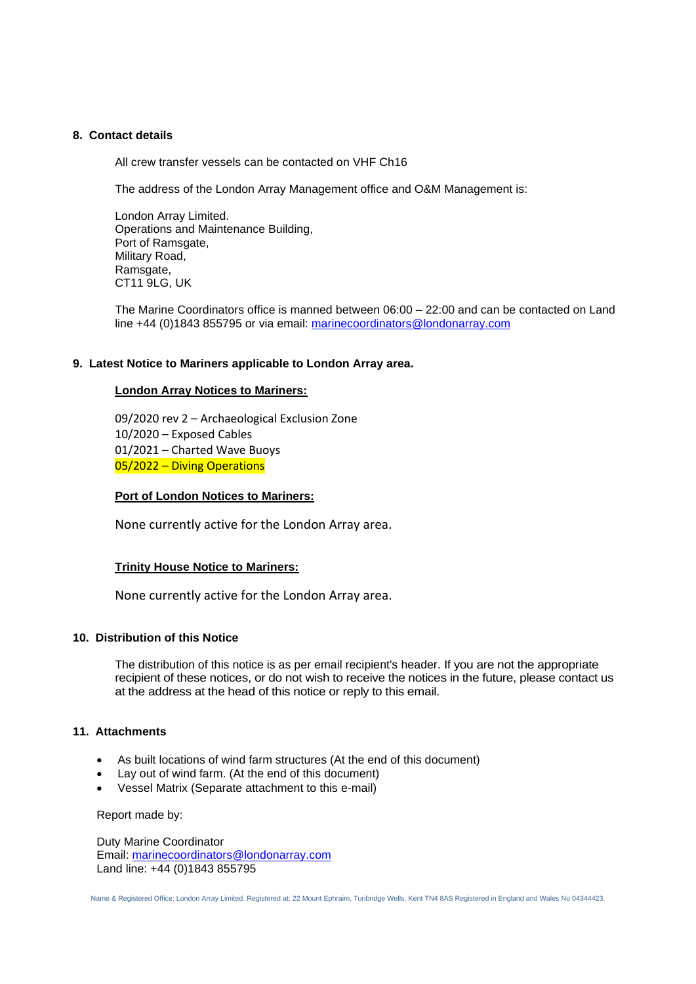# **8. Contact details**

All crew transfer vessels can be contacted on VHF Ch16

The address of the London Array Management office and O&M Management is:

London Array Limited. Operations and Maintenance Building, Port of Ramsgate, Military Road, Ramsgate, CT11 9LG, UK

The Marine Coordinators office is manned between 06:00 – 22:00 and can be contacted on Land line +44 (0)1843 855795 or via email: [marinecoordinators@londonarray.com](mailto:marinecoordinators@londonarray.com)

## **9. Latest Notice to Mariners applicable to London Array area.**

## **London Array Notices to Mariners:**

09/2020 rev 2 – Archaeological Exclusion Zone 10/2020 – Exposed Cables 01/2021 – Charted Wave Buoys 05/2022 – Diving Operations

#### **Port of London Notices to Mariners:**

None currently active for the London Array area.

#### **Trinity House Notice to Mariners:**

None currently active for the London Array area.

### **10. Distribution of this Notice**

The distribution of this notice is as per email recipient's header. If you are not the appropriate recipient of these notices, or do not wish to receive the notices in the future, please contact us at the address at the head of this notice or reply to this email.

#### **11. Attachments**

- As built locations of wind farm structures (At the end of this document)
- Lay out of wind farm. (At the end of this document)
- Vessel Matrix (Separate attachment to this e-mail)

Report made by:

Duty Marine Coordinator Email: [marinecoordinators@londonarray.com](mailto:marinecoordinators@londonarray.com) Land line: +44 (0)1843 855795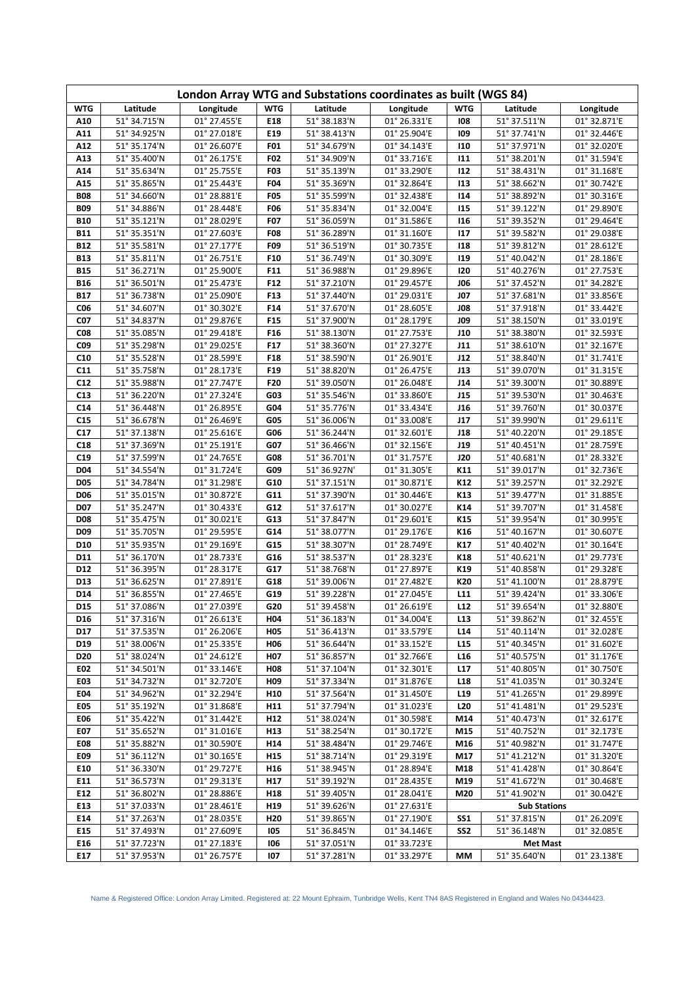| London Array WTG and Substations coordinates as built (WGS 84) |                              |                              |                        |                              |                              |                          |                              |                              |  |
|----------------------------------------------------------------|------------------------------|------------------------------|------------------------|------------------------------|------------------------------|--------------------------|------------------------------|------------------------------|--|
| <b>WTG</b>                                                     | Latitude                     | Longitude                    | <b>WTG</b>             | Latitude                     | Longitude                    | <b>WTG</b>               | Latitude                     | Longitude                    |  |
| A10                                                            | 51° 34.715'N                 | 01° 27.455'E                 | E18                    | 51° 38.183'N                 | 01° 26.331'E                 | 108                      | 51° 37.511'N                 | 01° 32.871'E                 |  |
| A11                                                            | 51° 34.925'N                 | 01° 27.018'E                 | F <sub>19</sub>        | 51° 38.413'N                 | 01° 25.904'E                 | 109                      | 51° 37.741'N                 | 01° 32.446'E                 |  |
| A12                                                            | 51° 35.174'N                 | 01° 26.607'E                 | F01                    | 51° 34.679'N                 | 01° 34.143'E                 | 110                      | 51° 37.971'N                 | 01° 32.020'E                 |  |
| A13                                                            | 51° 35.400'N                 | 01° 26.175'E                 | F02                    | 51° 34.909'N                 | 01° 33.716'E                 | 111                      | 51° 38.201'N                 | 01° 31.594'E                 |  |
| A14                                                            | 51° 35.634'N                 | 01° 25.755'E                 | F03                    | 51° 35.139'N                 | 01° 33.290'E                 | 112                      | 51° 38.431'N                 | 01° 31.168'E                 |  |
| A15                                                            | 51° 35.865'N                 | 01° 25.443'E                 | <b>F04</b>             | 51° 35.369'N                 | 01° 32.864'E                 | 113                      | 51° 38.662'N                 | 01° 30.742'E                 |  |
| <b>B08</b>                                                     | 51° 34.660'N                 | 01° 28.881'E                 | <b>F05</b>             | 51° 35.599'N                 | 01° 32.438'E                 | 114                      | 51° 38.892'N                 | 01° 30.316'E                 |  |
| <b>B09</b>                                                     | 51° 34.886'N                 | 01° 28.448'E                 | F06                    | 51° 35.834'N                 | 01° 32.004'E                 | 115                      | 51° 39.122'N                 | 01° 29.890'E                 |  |
| <b>B10</b>                                                     | 51° 35.121'N                 | 01° 28.029'E                 | F07                    | 51° 36.059'N                 | 01° 31.586'E                 | 116                      | 51° 39.352'N                 | 01° 29.464'E                 |  |
| <b>B11</b>                                                     | 51° 35.351'N                 | 01° 27.603'E                 | <b>F08</b>             | 51° 36.289'N                 | 01° 31.160'E                 | 117                      | 51° 39.582'N                 | 01° 29.038'E                 |  |
| <b>B12</b>                                                     | 51° 35.581'N                 | 01° 27.177'E                 | F <sub>09</sub>        | 51° 36.519'N                 | 01° 30.735'E                 | 118                      | 51° 39.812'N                 | 01° 28.612'E                 |  |
| <b>B13</b>                                                     | 51° 35.811'N                 | 01° 26.751'E                 | F <sub>10</sub>        | 51° 36.749'N                 | 01° 30.309'E                 | <b>119</b>               | 51° 40.042'N                 | 01° 28.186'E                 |  |
| <b>B15</b>                                                     | 51° 36.271'N                 | 01° 25.900'E                 | F11                    | 51° 36.988'N                 | 01° 29.896'E                 | 120                      | 51° 40.276'N                 | 01° 27.753'E                 |  |
| <b>B16</b>                                                     | 51° 36.501'N                 | 01° 25.473'E                 | F12                    | 51° 37.210'N                 | 01° 29.457'E                 | <b>JO6</b>               | 51° 37.452'N                 | 01° 34.282'E                 |  |
| <b>B17</b>                                                     | 51° 36.738'N                 | 01° 25.090'E                 | F13                    | 51° 37.440'N                 | 01° 29.031'E                 | <b>J07</b>               | 51° 37.681'N                 | 01° 33.856'E                 |  |
| <b>CO6</b><br>C07                                              | 51° 34.607'N<br>51° 34.837'N | 01° 30.302'E<br>01° 29.876'E | F14<br>F <sub>15</sub> | 51° 37.670'N<br>51° 37.900'N | 01° 28.605'E<br>01° 28.179'E | <b>J08</b><br><b>JO9</b> | 51° 37.918'N<br>51° 38.150'N | 01° 33.442'E<br>01° 33.019'E |  |
| CO8                                                            | 51° 35.085'N                 | 01° 29.418'E                 | F <sub>16</sub>        | 51° 38.130'N                 | 01° 27.753'E                 | <b>J10</b>               | 51° 38.380'N                 | 01° 32.593'E                 |  |
| C09                                                            | 51° 35.298'N                 | 01° 29.025'E                 | F17                    | 51° 38.360'N                 | 01° 27.327'E                 | J11                      | 51° 38.610'N                 | 01° 32.167'E                 |  |
| C10                                                            | 51° 35.528'N                 | 01° 28.599'E                 | F18                    | 51° 38.590'N                 | 01° 26.901'E                 | J12                      | 51° 38.840'N                 | 01° 31.741'E                 |  |
| C11                                                            | 51° 35.758'N                 | 01° 28.173'E                 | F <sub>19</sub>        | 51° 38.820'N                 | 01° 26.475'E                 | J13                      | 51° 39.070'N                 | 01° 31.315'E                 |  |
| C12                                                            | 51° 35.988'N                 | 01° 27.747'E                 | F20                    | 51° 39.050'N                 | 01° 26.048'E                 | J14                      | 51° 39.300'N                 | 01° 30.889'E                 |  |
| C13                                                            | 51° 36.220'N                 | 01° 27.324'E                 | G03                    | 51° 35.546'N                 | 01° 33.860'E                 | <b>J15</b>               | 51° 39.530'N                 | 01° 30.463'E                 |  |
| C <sub>14</sub>                                                | 51° 36.448'N                 | 01° 26.895'E                 | G04                    | 51° 35.776'N                 | 01° 33.434'E                 | <b>J16</b>               | 51° 39.760'N                 | 01° 30.037'E                 |  |
| C <sub>15</sub>                                                | 51° 36.678'N                 | 01° 26.469'E                 | G05                    | 51° 36.006'N                 | 01° 33.008'E                 | J17                      | 51° 39.990'N                 | 01° 29.611'E                 |  |
| C17                                                            | 51° 37.138'N                 | 01° 25.616'E                 | G06                    | 51° 36.244'N                 | 01° 32.601'E                 | <b>J18</b>               | 51° 40.220'N                 | 01° 29.185'E                 |  |
| C18                                                            | 51° 37.369'N                 | 01° 25.191'E                 | G07                    | 51° 36.466'N                 | 01° 32.156'E                 | <b>J19</b>               | 51° 40.451'N                 | 01° 28.759'E                 |  |
| C19                                                            | 51° 37.599'N                 | 01° 24.765'E                 | G08                    | 51° 36.701'N                 | 01° 31.757'E                 | <b>J20</b>               | 51° 40.681'N                 | 01° 28.332'E                 |  |
| <b>D04</b>                                                     | 51° 34.554'N                 | 01° 31.724'E                 | G09                    | 51° 36.927N'                 | 01° 31.305'E                 | K11                      | 51° 39.017'N                 | 01° 32.736'E                 |  |
| <b>D05</b>                                                     | 51° 34.784'N                 | 01° 31.298'E                 | G10                    | 51° 37.151'N                 | 01° 30.871'E                 | K12                      | 51° 39.257'N                 | 01° 32.292'E                 |  |
| <b>D06</b>                                                     | 51° 35.015'N                 | 01° 30.872'E                 | G11                    | 51° 37.390'N                 | 01° 30.446'E                 | K13                      | 51° 39.477'N                 | 01° 31.885'E                 |  |
| <b>D07</b>                                                     | 51° 35.247'N                 | 01° 30.433'E                 | G12                    | 51° 37.617'N                 | 01° 30.027'E                 | K14                      | 51° 39.707'N                 | 01° 31.458'E                 |  |
| <b>D08</b><br>D <sub>09</sub>                                  | 51° 35.475'N                 | 01° 30.021'E                 | G13<br>G14             | 51° 37.847'N                 | 01° 29.601'E                 | K <sub>15</sub><br>K16   | 51° 39.954'N                 | 01° 30.995'E                 |  |
| D <sub>10</sub>                                                | 51° 35.705'N<br>51° 35.935'N | 01° 29.595'E<br>01° 29.169'E | G15                    | 51° 38.077'N<br>51° 38.307'N | 01° 29.176'E<br>01° 28.749'E | K17                      | 51° 40.167'N<br>51° 40.402'N | 01° 30.607'E<br>01° 30.164'E |  |
| D11                                                            | 51° 36.170'N                 | 01° 28.733'E                 | G16                    | 51° 38.537'N                 | 01° 28.323'E                 | K18                      | 51° 40.621'N                 | 01° 29.773'E                 |  |
| D12                                                            | 51° 36.395'N                 | 01° 28.317'E                 | G17                    | 51° 38.768'N                 | 01° 27.897'E                 | K19                      | 51° 40.858'N                 | 01° 29.328'E                 |  |
| D13                                                            | 51° 36.625'N                 | 01° 27.891'E                 | G18                    | 51° 39.006'N                 | 01° 27.482'E                 | K20                      | 51° 41.100'N                 | 01° 28.879'E                 |  |
| D <sub>14</sub>                                                | 51° 36.855'N                 | 01° 27.465'E                 | G19                    | 51° 39.228'N                 | 01° 27.045'E                 | L <sub>11</sub>          | 51° 39.424'N                 | 01° 33.306'E                 |  |
| D <sub>15</sub>                                                | 51° 37.086'N                 | 01° 27.039'E                 | G20                    | 51° 39.458'N                 | 01° 26.619'E                 | L12                      | 51° 39.654'N                 | 01° 32.880'E                 |  |
| D16                                                            | 51° 37.316'N                 | 01° 26.613'E                 | H04                    | 51° 36.183'N                 | 01° 34.004'E                 | L13                      | 51° 39.862'N                 | 01° 32.455'E                 |  |
| D17                                                            | 51° 37.535'N                 | 01° 26.206'E                 | H <sub>05</sub>        | 51° 36.413'N                 | 01° 33.579'E                 | L14                      | 51° 40.114'N                 | 01° 32.028'E                 |  |
| D <sub>19</sub>                                                | 51° 38.006'N                 | 01° 25.335'E                 | <b>H06</b>             | 51° 36.644'N                 | 01° 33.152'E                 | L15                      | 51° 40.345'N                 | 01° 31.602'E                 |  |
| D <sub>20</sub>                                                | 51° 38.024'N                 | 01° 24.612'E                 | H07                    | 51° 36.857'N                 | 01° 32.766'E                 | L16                      | 51° 40.575'N                 | 01° 31.176'E                 |  |
| E02                                                            | 51° 34.501'N                 | 01° 33.146'E                 | <b>H08</b>             | 51° 37.104'N                 | 01° 32.301'E                 | L17                      | 51° 40.805'N                 | 01° 30.750'E                 |  |
| E03                                                            | 51° 34.732'N                 | 01° 32.720'E                 | H09                    | 51° 37.334'N                 | 01° 31.876'E                 | L18                      | 51° 41.035'N                 | 01° 30.324'E                 |  |
| E04                                                            | 51° 34.962'N                 | 01° 32.294'E                 | H <sub>10</sub>        | 51° 37.564'N                 | 01° 31.450'E                 | L <sub>19</sub>          | 51° 41.265'N                 | 01° 29.899'E                 |  |
| E05                                                            | 51° 35.192'N                 | 01° 31.868'E                 | H <sub>11</sub>        | 51° 37.794'N                 | 01° 31.023'E                 | L20                      | 51° 41.481'N                 | 01° 29.523'E                 |  |
| E06                                                            | 51° 35.422'N                 | 01° 31.442'E                 | H <sub>12</sub>        | 51° 38.024'N                 | 01° 30.598'E                 | M14                      | 51° 40.473'N                 | 01° 32.617'E                 |  |
| E07                                                            | 51° 35.652'N                 | 01° 31.016'E                 | H13                    | 51° 38.254'N                 | 01° 30.172'E                 | M15                      | 51° 40.752'N                 | 01° 32.173'E                 |  |
| E08<br>E09                                                     | 51° 35.882'N<br>51° 36.112'N | 01° 30.590'E<br>01° 30.165'E | H14<br>H <sub>15</sub> | 51° 38.484'N<br>51° 38.714'N | 01° 29.746'E<br>01° 29.319'E | M16<br>M17               | 51° 40.982'N<br>51° 41.212'N | 01° 31.747'E<br>01° 31.320'E |  |
| E10                                                            | 51° 36.330'N                 | 01° 29.727'E                 | H <sub>16</sub>        | 51° 38.945'N                 | 01° 28.894'E                 | M18                      | 51° 41.428'N                 | 01° 30.864'E                 |  |
| E11                                                            | 51° 36.573'N                 | 01° 29.313'E                 | H <sub>17</sub>        | 51° 39.192'N                 | 01° 28.435'E                 | M19                      | 51° 41.672'N                 | 01° 30.468'E                 |  |
| E <sub>12</sub>                                                | 51° 36.802'N                 | 01° 28.886'E                 | H18                    | 51° 39.405'N                 | 01° 28.041'E                 | M20                      | 51° 41.902'N                 | 01° 30.042'E                 |  |
| E13                                                            | 51° 37.033'N                 | 01° 28.461'E                 | H <sub>19</sub>        | 51° 39.626'N                 | 01° 27.631'E                 | <b>Sub Stations</b>      |                              |                              |  |
| E14                                                            | 51° 37.263'N                 | 01° 28.035'E                 | H20                    | 51° 39.865'N                 | 01° 27.190'E                 | SS1                      | 51° 37.815'N                 | 01° 26.209'E                 |  |
| E15                                                            | 51° 37.493'N                 | 01° 27.609'E                 | 105                    | 51° 36.845'N                 | 01° 34.146'E                 | SS <sub>2</sub>          | 51° 36.148'N                 | 01° 32.085'E                 |  |
| E16                                                            | 51° 37.723'N                 | 01° 27.183'E                 | 106                    | 51° 37.051'N                 | 01° 33.723'E                 |                          | <b>Met Mast</b>              |                              |  |
| E17                                                            | 51° 37.953'N                 | 01° 26.757'E                 | 107                    | 51° 37.281'N                 | 01° 33.297'E                 | ΜМ                       | 51° 35.640'N                 | 01° 23.138'E                 |  |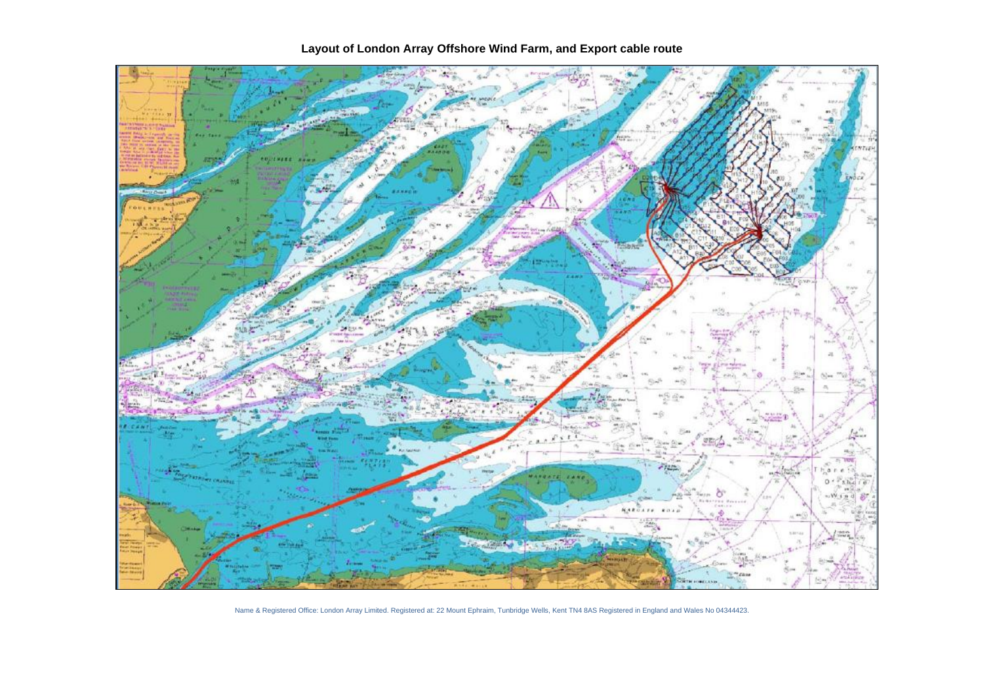

Name & Registered Office: London Array Limited. Registered at: 22 Mount Ephraim, Tunbridge Wells, Kent TN4 8AS Registered in England and Wales No 04344423.